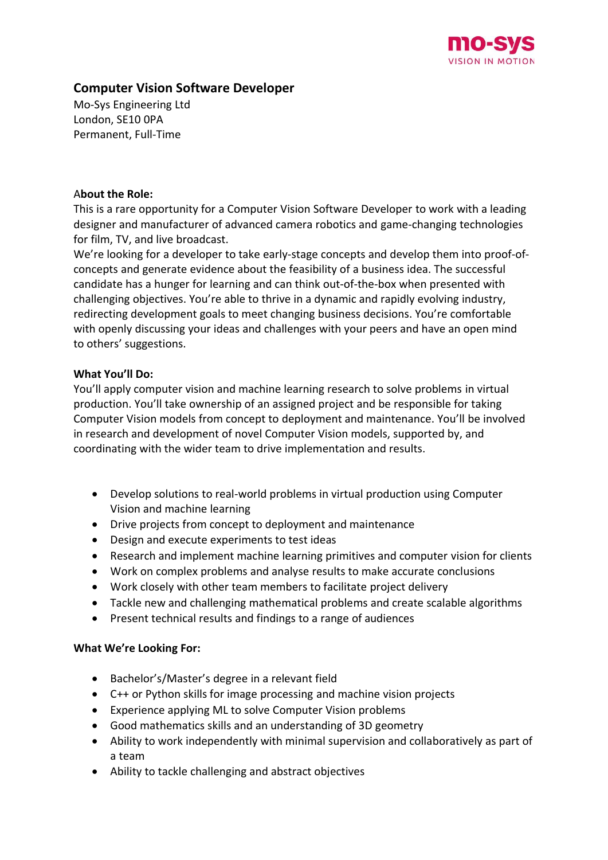

# **Computer Vision Software Developer**

Mo-Sys Engineering Ltd London, SE10 0PA Permanent, Full-Time

### A**bout the Role:**

This is a rare opportunity for a Computer Vision Software Developer to work with a leading designer and manufacturer of advanced camera robotics and game-changing technologies for film, TV, and live broadcast.

We're looking for a developer to take early-stage concepts and develop them into proof-ofconcepts and generate evidence about the feasibility of a business idea. The successful candidate has a hunger for learning and can think out-of-the-box when presented with challenging objectives. You're able to thrive in a dynamic and rapidly evolving industry, redirecting development goals to meet changing business decisions. You're comfortable with openly discussing your ideas and challenges with your peers and have an open mind to others' suggestions.

# **What You'll Do:**

You'll apply computer vision and machine learning research to solve problems in virtual production. You'll take ownership of an assigned project and be responsible for taking Computer Vision models from concept to deployment and maintenance. You'll be involved in research and development of novel Computer Vision models, supported by, and coordinating with the wider team to drive implementation and results.

- Develop solutions to real-world problems in virtual production using Computer Vision and machine learning
- Drive projects from concept to deployment and maintenance
- Design and execute experiments to test ideas
- Research and implement machine learning primitives and computer vision for clients
- Work on complex problems and analyse results to make accurate conclusions
- Work closely with other team members to facilitate project delivery
- Tackle new and challenging mathematical problems and create scalable algorithms
- Present technical results and findings to a range of audiences

# **What We're Looking For:**

- Bachelor's/Master's degree in a relevant field
- C++ or Python skills for image processing and machine vision projects
- Experience applying ML to solve Computer Vision problems
- Good mathematics skills and an understanding of 3D geometry
- Ability to work independently with minimal supervision and collaboratively as part of a team
- Ability to tackle challenging and abstract objectives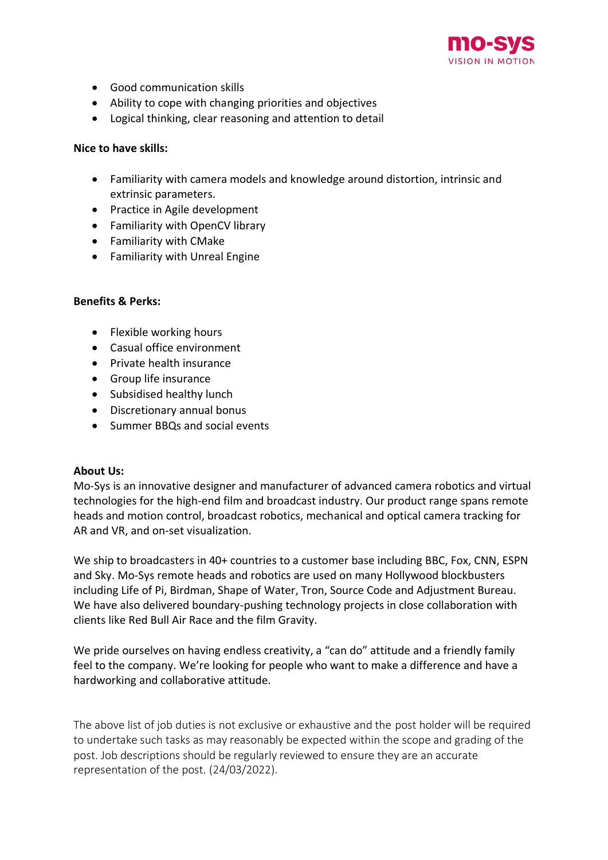

- Good communication skills
- Ability to cope with changing priorities and objectives
- Logical thinking, clear reasoning and attention to detail

#### **Nice to have skills:**

- Familiarity with camera models and knowledge around distortion, intrinsic and extrinsic parameters.
- Practice in Agile development
- Familiarity with OpenCV library
- Familiarity with CMake
- Familiarity with Unreal Engine

### **Benefits & Perks:**

- Flexible working hours
- Casual office environment
- Private health insurance
- Group life insurance
- Subsidised healthy lunch
- Discretionary annual bonus
- Summer BBQs and social events

#### **About Us:**

Mo-Sys is an innovative designer and manufacturer of advanced camera robotics and virtual technologies for the high-end film and broadcast industry. Our product range spans remote heads and motion control, broadcast robotics, mechanical and optical camera tracking for AR and VR, and on-set visualization.

We ship to broadcasters in 40+ countries to a customer base including BBC, Fox, CNN, ESPN and Sky. Mo-Sys remote heads and robotics are used on many Hollywood blockbusters including Life of Pi, Birdman, Shape of Water, Tron, Source Code and Adjustment Bureau. We have also delivered boundary-pushing technology projects in close collaboration with clients like Red Bull Air Race and the film Gravity.

We pride ourselves on having endless creativity, a "can do" attitude and a friendly family feel to the company. We're looking for people who want to make a difference and have a hardworking and collaborative attitude.

The above list of job duties is not exclusive or exhaustive and the post holder will be required to undertake such tasks as may reasonably be expected within the scope and grading of the post. Job descriptions should be regularly reviewed to ensure they are an accurate representation of the post. (24/03/2022).